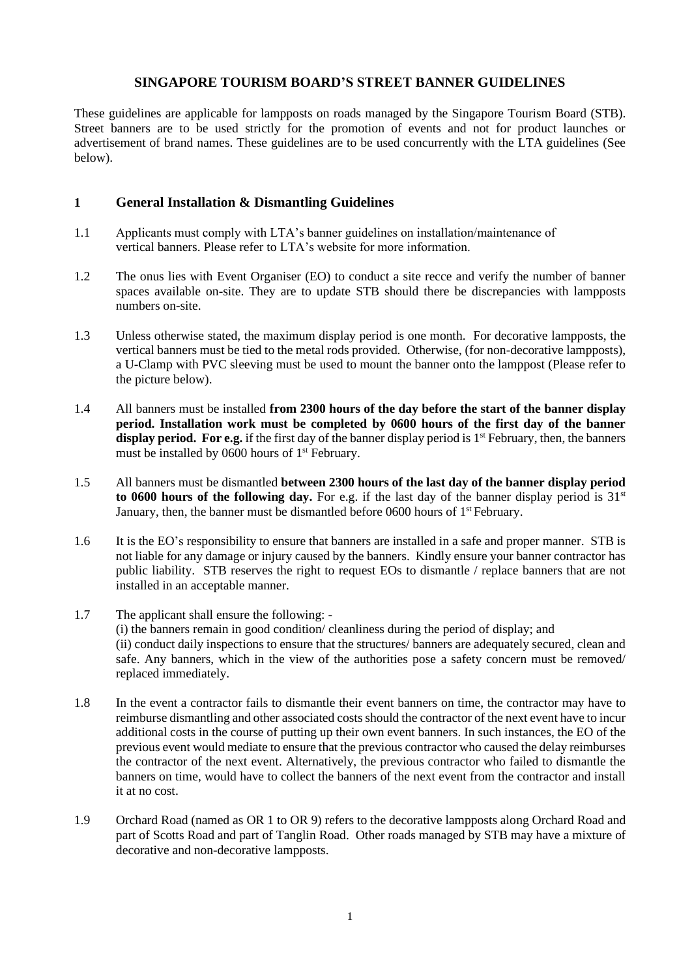These guidelines are applicable for lampposts on roads managed by the Singapore Tourism Board (STB). Street banners are to be used strictly for the promotion of events and not for product launches or advertisement of brand names. These guidelines are to be used concurrently with the LTA guidelines (See below).

# **1 General Installation & Dismantling Guidelines**

- 1.1 Applicants must comply with LTA's banner guidelines on installation/maintenance of vertical banners. Please refer to LTA's website for more information.
- 1.2 The onus lies with Event Organiser (EO) to conduct a site recce and verify the number of banner spaces available on-site. They are to update STB should there be discrepancies with lampposts numbers on-site.
- 1.3 Unless otherwise stated, the maximum display period is one month. For decorative lampposts, the vertical banners must be tied to the metal rods provided. Otherwise, (for non-decorative lampposts), a U-Clamp with PVC sleeving must be used to mount the banner onto the lamppost (Please refer to the picture below).
- 1.4 All banners must be installed **from 2300 hours of the day before the start of the banner display period. Installation work must be completed by 0600 hours of the first day of the banner**  display period. For e.g. if the first day of the banner display period is 1<sup>st</sup> February, then, the banners must be installed by 0600 hours of 1<sup>st</sup> February.
- 1.5 All banners must be dismantled **between 2300 hours of the last day of the banner display period**  to 0600 hours of the following day. For e.g. if the last day of the banner display period is 31<sup>st</sup> January, then, the banner must be dismantled before 0600 hours of 1<sup>st</sup> February.
- 1.6 It is the EO's responsibility to ensure that banners are installed in a safe and proper manner. STB is not liable for any damage or injury caused by the banners. Kindly ensure your banner contractor has public liability. STB reserves the right to request EOs to dismantle / replace banners that are not installed in an acceptable manner.
- 1.7 The applicant shall ensure the following: (i) the banners remain in good condition/ cleanliness during the period of display; and (ii) conduct daily inspections to ensure that the structures/ banners are adequately secured, clean and safe. Any banners, which in the view of the authorities pose a safety concern must be removed/ replaced immediately.
- 1.8 In the event a contractor fails to dismantle their event banners on time, the contractor may have to reimburse dismantling and other associated costs should the contractor of the next event have to incur additional costs in the course of putting up their own event banners. In such instances, the EO of the previous event would mediate to ensure that the previous contractor who caused the delay reimburses the contractor of the next event. Alternatively, the previous contractor who failed to dismantle the banners on time, would have to collect the banners of the next event from the contractor and install it at no cost.
- 1.9 Orchard Road (named as OR 1 to OR 9) refers to the decorative lampposts along Orchard Road and part of Scotts Road and part of Tanglin Road. Other roads managed by STB may have a mixture of decorative and non-decorative lampposts.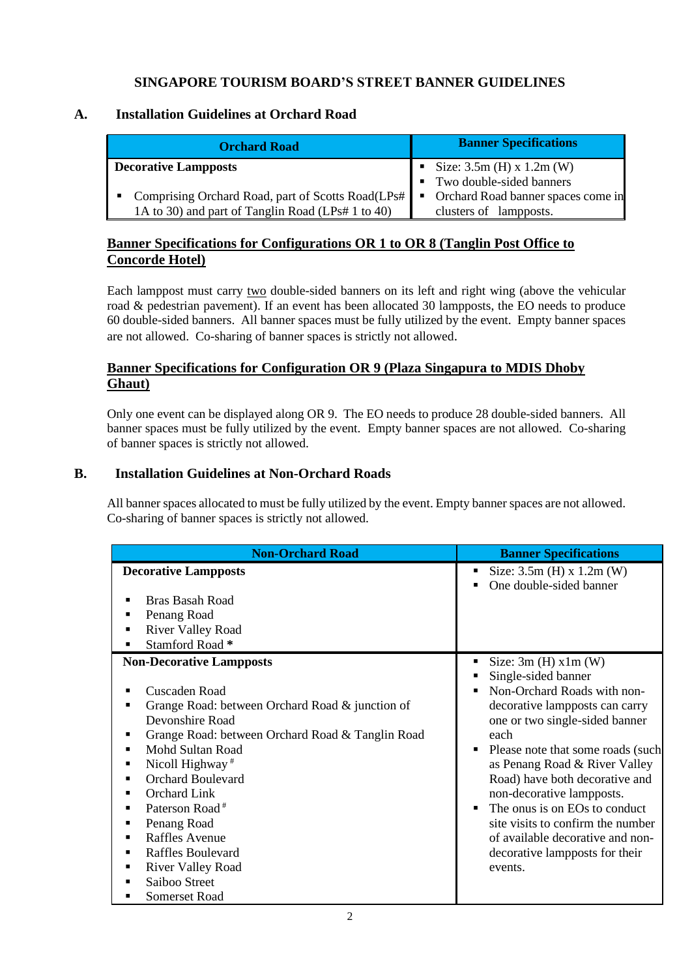# **A. Installation Guidelines at Orchard Road**

| <b>Orchard Road</b>                                                                                      | <b>Banner Specifications</b>                                   |
|----------------------------------------------------------------------------------------------------------|----------------------------------------------------------------|
| Decorative Lampposts                                                                                     | Size: $3.5m$ (H) x $1.2m$ (W)<br>• Two double-sided banners    |
| • Comprising Orchard Road, part of Scotts Road(LPs#<br>1A to 30) and part of Tanglin Road (LPs# 1 to 40) | • Orchard Road banner spaces come in<br>clusters of lampposts. |

# **Banner Specifications for Configurations OR 1 to OR 8 (Tanglin Post Office to Concorde Hotel)**

Each lamppost must carry two double-sided banners on its left and right wing (above the vehicular road & pedestrian pavement). If an event has been allocated 30 lampposts, the EO needs to produce 60 double-sided banners. All banner spaces must be fully utilized by the event. Empty banner spaces are not allowed. Co-sharing of banner spaces is strictly not allowed.

# **Banner Specifications for Configuration OR 9 (Plaza Singapura to MDIS Dhoby Ghaut)**

Only one event can be displayed along OR 9. The EO needs to produce 28 double-sided banners. All banner spaces must be fully utilized by the event. Empty banner spaces are not allowed. Co-sharing of banner spaces is strictly not allowed.

# **B. Installation Guidelines at Non-Orchard Roads**

All banner spaces allocated to must be fully utilized by the event. Empty banner spaces are not allowed. Co-sharing of banner spaces is strictly not allowed.

| <b>Non-Orchard Road</b>                                                                                                                                                                                                                                                                                                                                                                                                                                                                     | <b>Banner Specifications</b>                                                                                                                                                                                                                                                                                                                                                                                                                                                               |
|---------------------------------------------------------------------------------------------------------------------------------------------------------------------------------------------------------------------------------------------------------------------------------------------------------------------------------------------------------------------------------------------------------------------------------------------------------------------------------------------|--------------------------------------------------------------------------------------------------------------------------------------------------------------------------------------------------------------------------------------------------------------------------------------------------------------------------------------------------------------------------------------------------------------------------------------------------------------------------------------------|
| <b>Decorative Lampposts</b><br>Bras Basah Road<br>Penang Road<br><b>River Valley Road</b><br>Stamford Road *<br>п                                                                                                                                                                                                                                                                                                                                                                           | Size: $3.5m$ (H) x $1.2m$ (W)<br>٠<br>One double-sided banner                                                                                                                                                                                                                                                                                                                                                                                                                              |
| <b>Non-Decorative Lampposts</b><br>Cuscaden Road<br>٠<br>Grange Road: between Orchard Road & junction of<br>■<br>Devonshire Road<br>Grange Road: between Orchard Road & Tanglin Road<br>п<br>Mohd Sultan Road<br>٠<br>Nicoll Highway <sup>#</sup><br>٠<br><b>Orchard Boulevard</b><br>Orchard Link<br>٠<br>Paterson Road <sup>#</sup><br>٠<br>Penang Road<br><b>Raffles Avenue</b><br>٠<br><b>Raffles Boulevard</b><br>٠<br><b>River Valley Road</b><br>п<br>Saiboo Street<br>Somerset Road | Size: $3m(H) \times 1m(W)$<br>٠<br>Single-sided banner<br>п<br>Non-Orchard Roads with non-<br>$\blacksquare$<br>decorative lampposts can carry<br>one or two single-sided banner<br>each<br>Please note that some roads (such)<br>٠<br>as Penang Road & River Valley<br>Road) have both decorative and<br>non-decorative lampposts.<br>The onus is on EOs to conduct<br>site visits to confirm the number<br>of available decorative and non-<br>decorative lampposts for their<br>events. |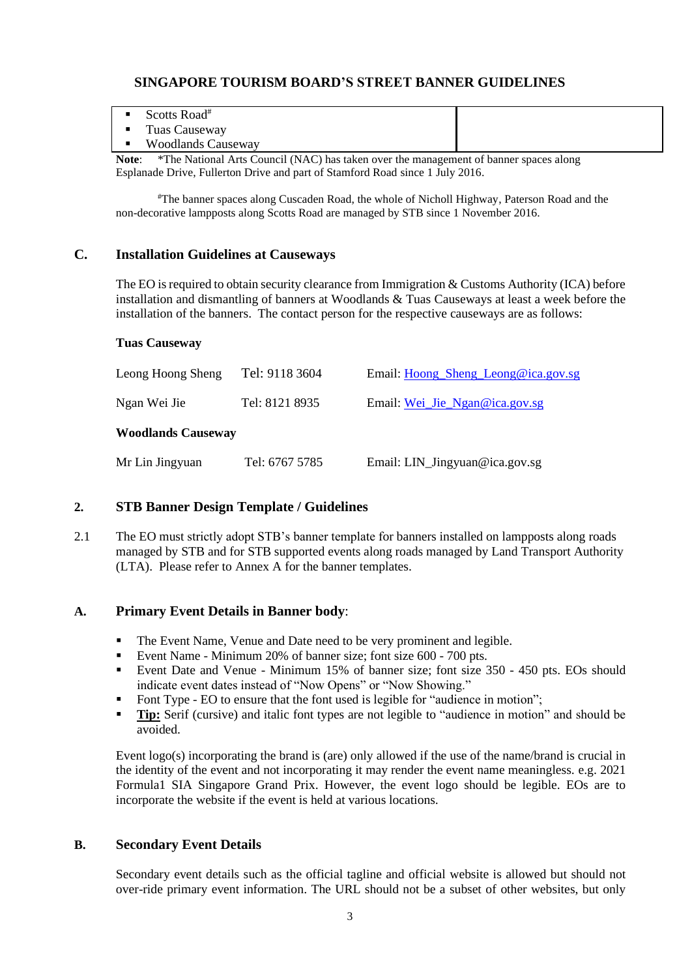| Scotts Road <sup>#</sup>                                                                                                                                                                                                                          |  |
|---------------------------------------------------------------------------------------------------------------------------------------------------------------------------------------------------------------------------------------------------|--|
| Tuas Causeway                                                                                                                                                                                                                                     |  |
| <b>Woodlands Causeway</b>                                                                                                                                                                                                                         |  |
| $\mathbf{M}$ . $\mathbf{A}$<br>$\mathcal{L}$ The Mercent Association of ATA CV 1, and the set of $\mathcal{L}$<br>$\sim$ 1.0 $\sim$ 1.0 $\sim$ 1.0 $\sim$ 1.0 $\sim$ 1.0 $\sim$ 1.0 $\sim$ 1.0 $\sim$ 1.0 $\sim$ 1.0 $\sim$ 1.0 $\sim$ 1.0 $\sim$ |  |

**Note**: \*The National Arts Council (NAC) has taken over the management of banner spaces along Esplanade Drive, Fullerton Drive and part of Stamford Road since 1 July 2016.

#The banner spaces along Cuscaden Road, the whole of Nicholl Highway, Paterson Road and the non-decorative lampposts along Scotts Road are managed by STB since 1 November 2016.

#### **C. Installation Guidelines at Causeways**

The EO is required to obtain security clearance from Immigration & Customs Authority (ICA) before installation and dismantling of banners at Woodlands & Tuas Causeways at least a week before the installation of the banners. The contact person for the respective causeways are as follows:

#### **Tuas Causeway**

| Leong Hoong Sheng         | Tel: 9118 3604 | Email: Hoong_Sheng_Leong@ica.gov.sg |  |  |  |
|---------------------------|----------------|-------------------------------------|--|--|--|
| Ngan Wei Jie              | Tel: 8121 8935 | Email: Wei_Jie_Ngan@ica.gov.sg      |  |  |  |
| <b>Woodlands Causeway</b> |                |                                     |  |  |  |
| Mr Lin Jingyuan           | Tel: 6767 5785 | Email: LIN_Jingyuan@ica.gov.sg      |  |  |  |

#### **2. STB Banner Design Template / Guidelines**

2.1 The EO must strictly adopt STB's banner template for banners installed on lampposts along roads managed by STB and for STB supported events along roads managed by Land Transport Authority (LTA). Please refer to Annex A for the banner templates.

#### **A. Primary Event Details in Banner body**:

- The Event Name, Venue and Date need to be very prominent and legible.
- Event Name Minimum 20% of banner size; font size 600 700 pts.
- Event Date and Venue Minimum 15% of banner size; font size 350 450 pts. EOs should indicate event dates instead of "Now Opens" or "Now Showing."
- Font Type EO to ensure that the font used is legible for "audience in motion";
- **Tip:** Serif (cursive) and italic font types are not legible to "audience in motion" and should be avoided.

Event logo(s) incorporating the brand is (are) only allowed if the use of the name/brand is crucial in the identity of the event and not incorporating it may render the event name meaningless. e.g. 2021 Formula1 SIA Singapore Grand Prix. However, the event logo should be legible. EOs are to incorporate the website if the event is held at various locations.

#### **B. Secondary Event Details**

Secondary event details such as the official tagline and official website is allowed but should not over-ride primary event information. The URL should not be a subset of other websites, but only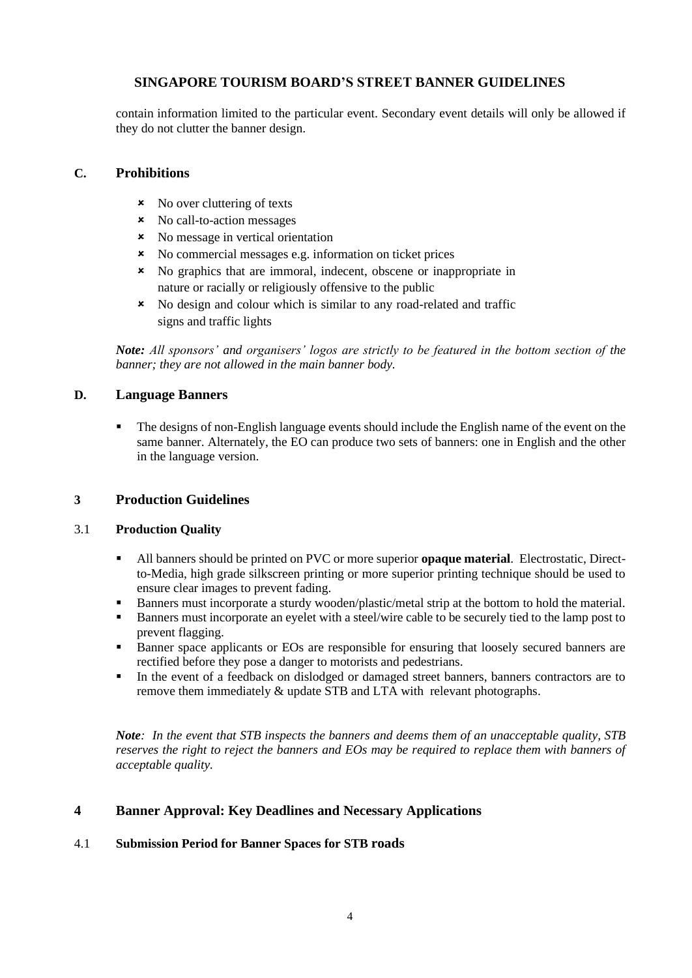contain information limited to the particular event. Secondary event details will only be allowed if they do not clutter the banner design.

#### **C. Prohibitions**

- **x** No over cluttering of texts
- No call-to-action messages
- No message in vertical orientation
- No commercial messages e.g. information on ticket prices
- No graphics that are immoral, indecent, obscene or inappropriate in nature or racially or religiously offensive to the public
- No design and colour which is similar to any road-related and traffic signs and traffic lights

*Note: All sponsors' and organisers' logos are strictly to be featured in the bottom section of the banner; they are not allowed in the main banner body.*

# **D. Language Banners**

The designs of non-English language events should include the English name of the event on the same banner. Alternately, the EO can produce two sets of banners: one in English and the other in the language version.

# **3 Production Guidelines**

#### 3.1 **Production Quality**

- All banners should be printed on PVC or more superior **opaque material**. Electrostatic, Directto-Media, high grade silkscreen printing or more superior printing technique should be used to ensure clear images to prevent fading.
- Banners must incorporate a sturdy wooden/plastic/metal strip at the bottom to hold the material.
- Banners must incorporate an eyelet with a steel/wire cable to be securely tied to the lamp post to prevent flagging.
- Banner space applicants or EOs are responsible for ensuring that loosely secured banners are rectified before they pose a danger to motorists and pedestrians.
- In the event of a feedback on dislodged or damaged street banners, banners contractors are to remove them immediately & update STB and LTA with relevant photographs.

*Note: In the event that STB inspects the banners and deems them of an unacceptable quality, STB reserves the right to reject the banners and EOs may be required to replace them with banners of acceptable quality.* 

# **4 Banner Approval: Key Deadlines and Necessary Applications**

# 4.1 **Submission Period for Banner Spaces for STB roads**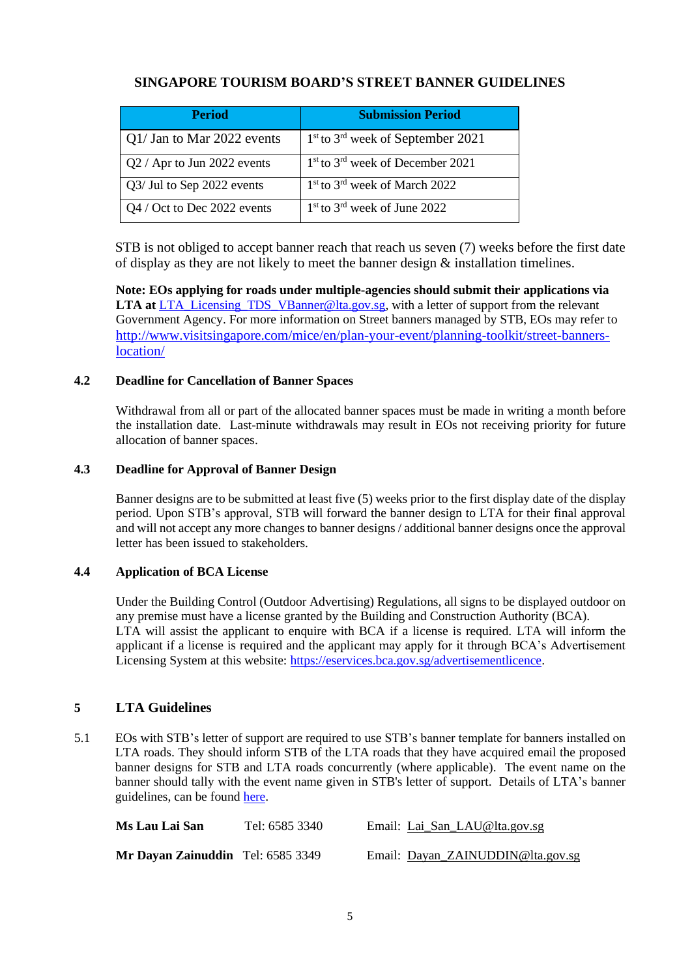| <b>Period</b>               | <b>Submission Period</b>                                 |
|-----------------------------|----------------------------------------------------------|
| Q1/ Jan to Mar 2022 events  | $1st$ to $3rd$ week of September 2021                    |
| Q2 / Apr to Jun 2022 events | 1 <sup>st</sup> to 3 <sup>rd</sup> week of December 2021 |
| Q3/ Jul to Sep 2022 events  | 1 <sup>st</sup> to 3 <sup>rd</sup> week of March 2022    |
| Q4 / Oct to Dec 2022 events | $1st$ to $3rd$ week of June 2022                         |

STB is not obliged to accept banner reach that reach us seven (7) weeks before the first date of display as they are not likely to meet the banner design & installation timelines.

**Note: EOs applying for roads under multiple-agencies should submit their applications via LTA at** [LTA\\_Licensing\\_TDS\\_VBanner@lta.gov.sg,](mailto:LTA_Licensing_TDS_VBanner@lta.gov.sg) with a letter of support from the relevant Government Agency. For more information on Street banners managed by STB, EOs may refer to [http://www.visitsingapore.com/mice/en/plan-your-event/planning-toolkit/street-banners](http://www.visitsingapore.com/mice/en/plan-your-event/planning-toolkit/street-banners-location/)[location/](http://www.visitsingapore.com/mice/en/plan-your-event/planning-toolkit/street-banners-location/)

#### **4.2 Deadline for Cancellation of Banner Spaces**

Withdrawal from all or part of the allocated banner spaces must be made in writing a month before the installation date. Last-minute withdrawals may result in EOs not receiving priority for future allocation of banner spaces.

#### **4.3 Deadline for Approval of Banner Design**

Banner designs are to be submitted at least five (5) weeks prior to the first display date of the display period. Upon STB's approval, STB will forward the banner design to LTA for their final approval and will not accept any more changes to banner designs / additional banner designs once the approval letter has been issued to stakeholders.

#### **4.4 Application of BCA License**

Under the Building Control (Outdoor Advertising) Regulations, all signs to be displayed outdoor on any premise must have a license granted by the Building and Construction Authority (BCA). LTA will assist the applicant to enquire with BCA if a license is required. LTA will inform the applicant if a license is required and the applicant may apply for it through BCA's Advertisement Licensing System at this website: [https://eservices.bca.gov.sg/advertisementlicence.](https://eservices.bca.gov.sg/advertisementlicence)

# **5 LTA Guidelines**

5.1 EOs with STB's letter of support are required to use STB's banner template for banners installed on LTA roads. They should inform STB of the LTA roads that they have acquired email the proposed banner designs for STB and LTA roads concurrently (where applicable). The event name on the banner should tally with the event name given in STB's letter of support. Details of LTA's banner guidelines, can be found [here.](https://www.lta.gov.sg/content/dam/ltaweb/corp/Industry/files/Banner%20request%20form.xls)

| Ms Lau Lai San                    | Tel: 6585 3340 | Email: Lai_San_LAU@lta.gov.sg     |
|-----------------------------------|----------------|-----------------------------------|
| Mr Dayan Zainuddin Tel: 6585 3349 |                | Email: Dayan ZAINUDDIN@lta.gov.sg |